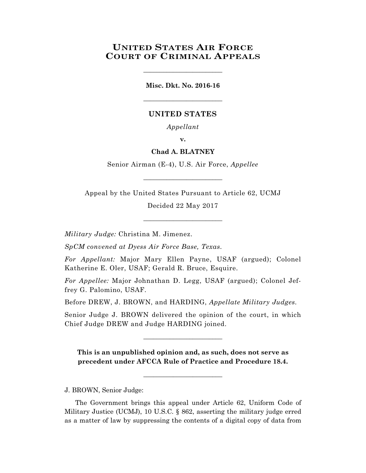# **UNITED STATES AIR FORCE COURT OF CRIMINAL APPEALS**

**Misc. Dkt. No. 2016-16**

\_\_\_\_\_\_\_\_\_\_\_\_\_\_\_\_\_\_\_\_\_\_\_\_

\_\_\_\_\_\_\_\_\_\_\_\_\_\_\_\_\_\_\_\_\_\_\_\_

# **UNITED STATES**

*Appellant*

#### **v.**

# **Chad A. BLATNEY**

Senior Airman (E-4), U.S. Air Force, *Appellee*

\_\_\_\_\_\_\_\_\_\_\_\_\_\_\_\_\_\_\_\_\_\_\_\_

Appeal by the United States Pursuant to Article 62, UCMJ

Decided 22 May 2017

\_\_\_\_\_\_\_\_\_\_\_\_\_\_\_\_\_\_\_\_\_\_\_\_

*Military Judge:* Christina M. Jimenez.

*SpCM convened at Dyess Air Force Base, Texas.* 

*For Appellant:* Major Mary Ellen Payne, USAF (argued); Colonel Katherine E. Oler, USAF; Gerald R. Bruce, Esquire.

*For Appellee:* Major Johnathan D. Legg, USAF (argued); Colonel Jeffrey G. Palomino, USAF.

Before DREW, J. BROWN, and HARDING, *Appellate Military Judges.*

Senior Judge J. BROWN delivered the opinion of the court, in which Chief Judge DREW and Judge HARDING joined.

\_\_\_\_\_\_\_\_\_\_\_\_\_\_\_\_\_\_\_\_\_\_\_\_

**This is an unpublished opinion and, as such, does not serve as precedent under AFCCA Rule of Practice and Procedure 18.4.**

\_\_\_\_\_\_\_\_\_\_\_\_\_\_\_\_\_\_\_\_\_\_\_\_

J. BROWN, Senior Judge:

The Government brings this appeal under Article 62, Uniform Code of Military Justice (UCMJ), 10 U.S.C. § 862, asserting the military judge erred as a matter of law by suppressing the contents of a digital copy of data from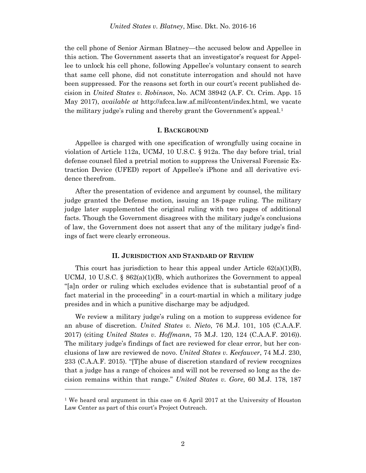the cell phone of Senior Airman Blatney—the accused below and Appellee in this action. The Government asserts that an investigator's request for Appellee to unlock his cell phone, following Appellee's voluntary consent to search that same cell phone, did not constitute interrogation and should not have been suppressed. For the reasons set forth in our court's recent published decision in *United States v. Robinson*, No. ACM 38942 (A.F. Ct. Crim. App. 15 May 2017), *available at* http://afcca.law.af.mil/content/index.html, we vacate the military judge's ruling and thereby grant the Government's appeal.<sup>1</sup>

#### **I. BACKGROUND**

Appellee is charged with one specification of wrongfully using cocaine in violation of Article 112a, UCMJ, 10 U.S.C. § 912a. The day before trial, trial defense counsel filed a pretrial motion to suppress the Universal Forensic Extraction Device (UFED) report of Appellee's iPhone and all derivative evidence therefrom.

After the presentation of evidence and argument by counsel, the military judge granted the Defense motion, issuing an 18-page ruling. The military judge later supplemented the original ruling with two pages of additional facts. Though the Government disagrees with the military judge's conclusions of law, the Government does not assert that any of the military judge's findings of fact were clearly erroneous.

#### **II. JURISDICTION AND STANDARD OF REVIEW**

This court has jurisdiction to hear this appeal under Article  $62(a)(1)(B)$ , UCMJ, 10 U.S.C. §  $862(a)(1)(B)$ , which authorizes the Government to appeal "[a]n order or ruling which excludes evidence that is substantial proof of a fact material in the proceeding" in a court-martial in which a military judge presides and in which a punitive discharge may be adjudged.

We review a military judge's ruling on a motion to suppress evidence for an abuse of discretion. *United States v. Nieto*, 76 M.J. 101, 105 (C.A.A.F. 2017) (citing *United States v. Hoffmann*, 75 M.J. 120, 124 (C.A.A.F. 2016)). The military judge's findings of fact are reviewed for clear error, but her conclusions of law are reviewed de novo. *United States v. Keefauver*, 74 M.J. 230, 233 (C.A.A.F. 2015). "[T]he abuse of discretion standard of review recognizes that a judge has a range of choices and will not be reversed so long as the decision remains within that range." *United States v. Gore*, 60 M.J. 178, 187

 $\overline{a}$ 

<sup>&</sup>lt;sup>1</sup> We heard oral argument in this case on 6 April 2017 at the University of Houston Law Center as part of this court's Project Outreach.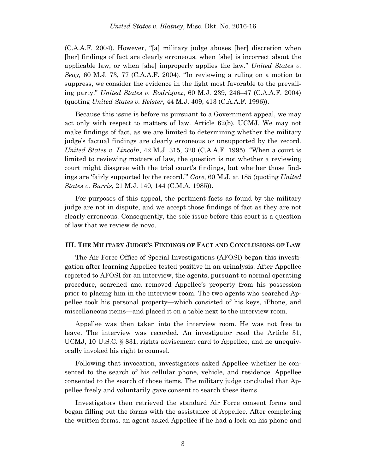(C.A.A.F. 2004). However, "[a] military judge abuses [her] discretion when [her] findings of fact are clearly erroneous, when [she] is incorrect about the applicable law, or when [she] improperly applies the law." *United States v. Seay,* 60 M.J. 73, 77 (C.A.A.F. 2004). "In reviewing a ruling on a motion to suppress, we consider the evidence in the light most favorable to the prevailing party." *United States v. Rodriguez*, 60 M.J. 239, 246–47 (C.A.A.F. 2004) (quoting *United States v. Reister*, 44 M.J. 409, 413 (C.A.A.F. 1996)).

Because this issue is before us pursuant to a Government appeal, we may act only with respect to matters of law. Article 62(b), UCMJ. We may not make findings of fact, as we are limited to determining whether the military judge's factual findings are clearly erroneous or unsupported by the record. *United States v. Lincoln*, 42 M.J. 315, 320 (C.A.A.F. 1995). "When a court is limited to reviewing matters of law, the question is not whether a reviewing court might disagree with the trial court's findings, but whether those findings are 'fairly supported by the record.'" *Gore*, 60 M.J. at 185 (quoting *United States v. Burris*, 21 M.J. 140, 144 (C.M.A. 1985)).

For purposes of this appeal, the pertinent facts as found by the military judge are not in dispute, and we accept those findings of fact as they are not clearly erroneous. Consequently, the sole issue before this court is a question of law that we review de novo.

#### **III. THE MILITARY JUDGE'S FINDINGS OF FACT AND CONCLUSIONS OF LAW**

The Air Force Office of Special Investigations (AFOSI) began this investigation after learning Appellee tested positive in an urinalysis. After Appellee reported to AFOSI for an interview, the agents, pursuant to normal operating procedure, searched and removed Appellee's property from his possession prior to placing him in the interview room. The two agents who searched Appellee took his personal property—which consisted of his keys, iPhone, and miscellaneous items—and placed it on a table next to the interview room.

Appellee was then taken into the interview room. He was not free to leave. The interview was recorded. An investigator read the Article 31, UCMJ, 10 U.S.C. § 831, rights advisement card to Appellee, and he unequivocally invoked his right to counsel.

Following that invocation, investigators asked Appellee whether he consented to the search of his cellular phone, vehicle, and residence. Appellee consented to the search of those items. The military judge concluded that Appellee freely and voluntarily gave consent to search these items.

Investigators then retrieved the standard Air Force consent forms and began filling out the forms with the assistance of Appellee. After completing the written forms, an agent asked Appellee if he had a lock on his phone and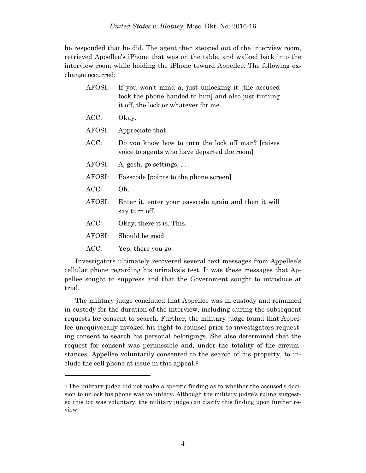he responded that he did. The agent then stepped out of the interview room, retrieved Appellee's iPhone that was on the table, and walked back into the interview room while holding the iPhone toward Appellee. The following exchange occurred:

| AFOSI: | If you won't mind a, just unlocking it the accused<br>took the phone handed to him and also just turning<br>it off, the lock or whatever for me. |
|--------|--------------------------------------------------------------------------------------------------------------------------------------------------|
| ACC:   | Okay.                                                                                                                                            |
| AFOSI: | Appreciate that.                                                                                                                                 |
| ACC:   | Do you know how to turn the lock off man? [raises<br>voice to agents who have departed the room                                                  |
| AFOSI: | A, gosh, go settings, $\dots$                                                                                                                    |
| AFOSI: | Passcode [points to the phone screen]                                                                                                            |
| ACC:   | Oh.                                                                                                                                              |
| AFOSI: | Enter it, enter your passcode again and then it will<br>say turn off.                                                                            |
| ACC:   | Okay, there it is. This.                                                                                                                         |
| AFOSI: | Should be good.                                                                                                                                  |
| ACC:   | Yep, there you go.                                                                                                                               |

Investigators ultimately recovered several text messages from Appellee's cellular phone regarding his urinalysis test. It was these messages that Appellee sought to suppress and that the Government sought to introduce at trial.

The military judge concluded that Appellee was in custody and remained in custody for the duration of the interview, including during the subsequent requests for consent to search. Further, the military judge found that Appellee unequivocally invoked his right to counsel prior to investigators requesting consent to search his personal belongings. She also determined that the request for consent was permissible and, under the totality of the circumstances, Appellee voluntarily consented to the search of his property, to include the cell phone at issue in this appeal.2

<sup>2</sup> The military judge did not make a specific finding as to whether the accused's decision to unlock his phone was voluntary. Although the military judge's ruling suggested this too was voluntary, the military judge can clarify this finding upon further review.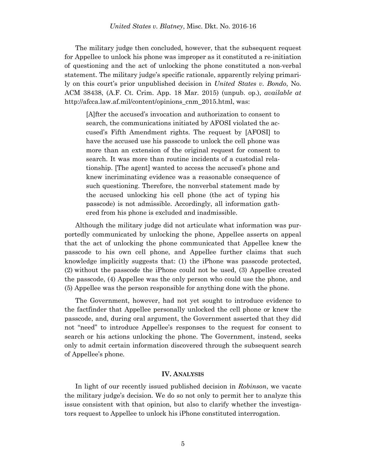The military judge then concluded, however, that the subsequent request for Appellee to unlock his phone was improper as it constituted a re-initiation of questioning and the act of unlocking the phone constituted a non-verbal statement. The military judge's specific rationale, apparently relying primarily on this court's prior unpublished decision in *United States v. Bondo*, No. ACM 38438, (A.F. Ct. Crim. App. 18 Mar. 2015) (unpub. op.), *available at*  http://afcca.law.af.mil/content/opinions\_cnm\_2015.html, was:

[A]fter the accused's invocation and authorization to consent to search, the communications initiated by AFOSI violated the accused's Fifth Amendment rights. The request by [AFOSI] to have the accused use his passcode to unlock the cell phone was more than an extension of the original request for consent to search. It was more than routine incidents of a custodial relationship. [The agent] wanted to access the accused's phone and knew incriminating evidence was a reasonable consequence of such questioning. Therefore, the nonverbal statement made by the accused unlocking his cell phone (the act of typing his passcode) is not admissible. Accordingly, all information gathered from his phone is excluded and inadmissible.

Although the military judge did not articulate what information was purportedly communicated by unlocking the phone, Appellee asserts on appeal that the act of unlocking the phone communicated that Appellee knew the passcode to his own cell phone, and Appellee further claims that such knowledge implicitly suggests that: (1) the iPhone was passcode protected, (2) without the passcode the iPhone could not be used, (3) Appellee created the passcode, (4) Appellee was the only person who could use the phone, and (5) Appellee was the person responsible for anything done with the phone.

The Government, however, had not yet sought to introduce evidence to the factfinder that Appellee personally unlocked the cell phone or knew the passcode, and, during oral argument, the Government asserted that they did not "need" to introduce Appellee's responses to the request for consent to search or his actions unlocking the phone. The Government, instead, seeks only to admit certain information discovered through the subsequent search of Appellee's phone.

## **IV. ANALYSIS**

In light of our recently issued published decision in *Robinson*, we vacate the military judge's decision. We do so not only to permit her to analyze this issue consistent with that opinion, but also to clarify whether the investigators request to Appellee to unlock his iPhone constituted interrogation.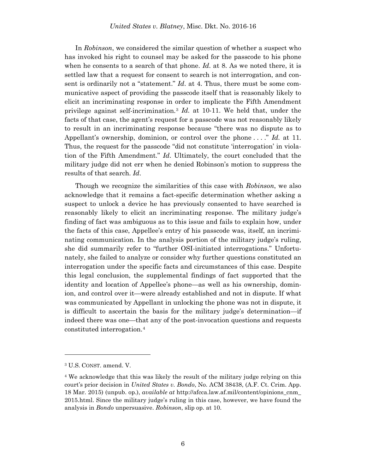In *Robinson*, we considered the similar question of whether a suspect who has invoked his right to counsel may be asked for the passcode to his phone when he consents to a search of that phone. *Id*. at 8. As we noted there, it is settled law that a request for consent to search is not interrogation, and consent is ordinarily not a "statement." *Id*. at 4. Thus, there must be some communicative aspect of providing the passcode itself that is reasonably likely to elicit an incriminating response in order to implicate the Fifth Amendment privilege against self-incrimination.3 *Id.* at 10-11. We held that, under the facts of that case, the agent's request for a passcode was not reasonably likely to result in an incriminating response because "there was no dispute as to Appellant's ownership, dominion, or control over the phone ...." *Id.* at 11. Thus, the request for the passcode "did not constitute 'interrogation' in violation of the Fifth Amendment." *Id*. Ultimately, the court concluded that the military judge did not err when he denied Robinson's motion to suppress the results of that search. *Id*.

Though we recognize the similarities of this case with *Robinson*, we also acknowledge that it remains a fact-specific determination whether asking a suspect to unlock a device he has previously consented to have searched is reasonably likely to elicit an incriminating response. The military judge's finding of fact was ambiguous as to this issue and fails to explain how, under the facts of this case, Appellee's entry of his passcode was, itself, an incriminating communication. In the analysis portion of the military judge's ruling, she did summarily refer to "further OSI-initiated interrogations." Unfortunately, she failed to analyze or consider why further questions constituted an interrogation under the specific facts and circumstances of this case. Despite this legal conclusion, the supplemental findings of fact supported that the identity and location of Appellee's phone—as well as his ownership, dominion, and control over it—were already established and not in dispute. If what was communicated by Appellant in unlocking the phone was not in dispute, it is difficult to ascertain the basis for the military judge's determination—if indeed there was one—that any of the post-invocation questions and requests constituted interrogation.4

 $\overline{a}$ 

<sup>3</sup> U.S. CONST. amend. V.

<sup>4</sup> We acknowledge that this was likely the result of the military judge relying on this court's prior decision in *United States v. Bondo*, No. ACM 38438, (A.F. Ct. Crim. App. 18 Mar. 2015) (unpub. op.), *available at* http://afcca.law.af.mil/content/opinions\_cnm\_ 2015.html. Since the military judge's ruling in this case, however, we have found the analysis in *Bondo* unpersuasive. *Robinson*, slip op. at 10.